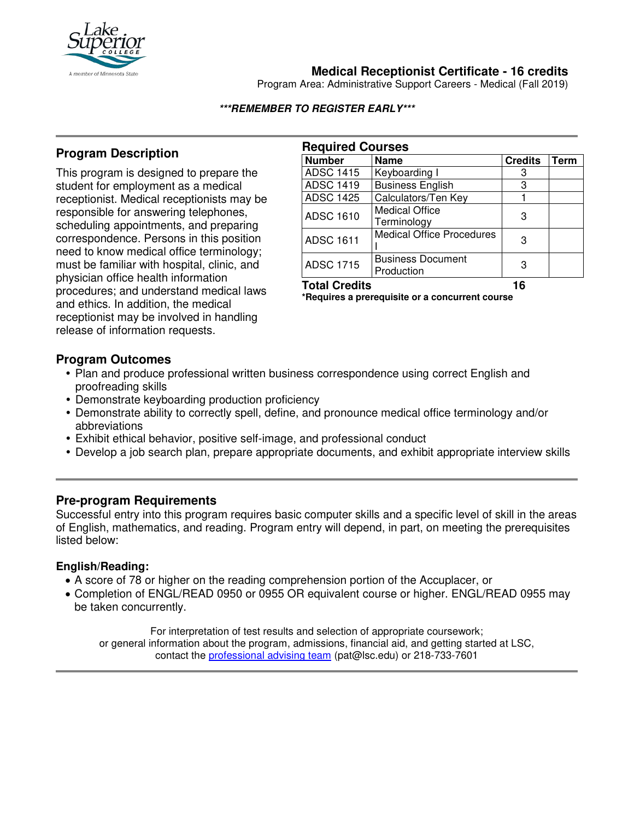

# **Medical Receptionist Certificate - 16 credits**

Program Area: Administrative Support Careers - Medical (Fall 2019)

#### **\*\*\*REMEMBER TO REGISTER EARLY\*\*\***

# **Program Description**

This program is designed to prepare the student for employment as a medical receptionist. Medical receptionists may be responsible for answering telephones, scheduling appointments, and preparing correspondence. Persons in this position need to know medical office terminology; must be familiar with hospital, clinic, and physician office health information procedures; and understand medical laws and ethics. In addition, the medical receptionist may be involved in handling release of information requests.

| <b>Required Courses</b> |                                        |                |      |
|-------------------------|----------------------------------------|----------------|------|
| <b>Number</b>           | <b>Name</b>                            | <b>Credits</b> | Term |
| <b>ADSC 1415</b>        | Keyboarding I                          | з              |      |
| <b>ADSC 1419</b>        | <b>Business English</b>                | 3              |      |
| <b>ADSC 1425</b>        | Calculators/Ten Key                    |                |      |
| <b>ADSC 1610</b>        | <b>Medical Office</b><br>Terminology   | З              |      |
| <b>ADSC 1611</b>        | <b>Medical Office Procedures</b>       | З              |      |
| <b>ADSC 1715</b>        | <b>Business Document</b><br>Production | З              |      |

**Total Credits 16**

**\*Requires a prerequisite or a concurrent course**

### **Program Outcomes**

- Plan and produce professional written business correspondence using correct English and proofreading skills
- Demonstrate keyboarding production proficiency
- Demonstrate ability to correctly spell, define, and pronounce medical office terminology and/or abbreviations
- Exhibit ethical behavior, positive self-image, and professional conduct
- Develop a job search plan, prepare appropriate documents, and exhibit appropriate interview skills

### **Pre-program Requirements**

Successful entry into this program requires basic computer skills and a specific level of skill in the areas of English, mathematics, and reading. Program entry will depend, in part, on meeting the prerequisites listed below:

### **English/Reading:**

- A score of 78 or higher on the reading comprehension portion of the Accuplacer, or
- Completion of ENGL/READ 0950 or 0955 OR equivalent course or higher. ENGL/READ 0955 may be taken concurrently.

For interpretation of test results and selection of appropriate coursework; or general information about the program, admissions, financial aid, and getting started at LSC, contact the [professional advising team](mailto:pat@lsc.edu) (pat@lsc.edu) or 218-733-7601